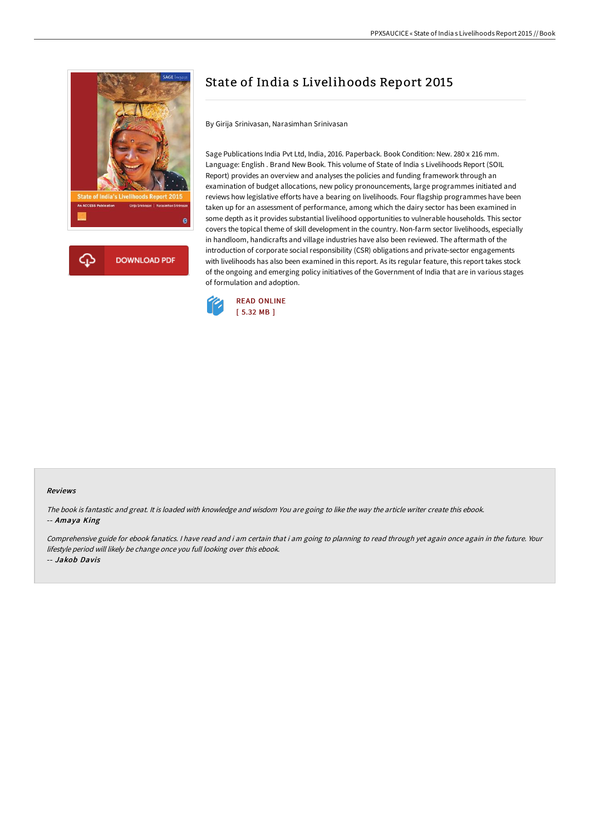

# State of India s Livelihoods Report 2015

By Girija Srinivasan, Narasimhan Srinivasan

Sage Publications India Pvt Ltd, India, 2016. Paperback. Book Condition: New. 280 x 216 mm. Language: English . Brand New Book. This volume of State of India s Livelihoods Report (SOIL Report) provides an overview and analyses the policies and funding framework through an examination of budget allocations, new policy pronouncements, large programmes initiated and reviews how legislative efforts have a bearing on livelihoods. Four flagship programmes have been taken up for an assessment of performance, among which the dairy sector has been examined in some depth as it provides substantial livelihood opportunities to vulnerable households. This sector covers the topical theme of skill development in the country. Non-farm sector livelihoods, especially in handloom, handicrafts and village industries have also been reviewed. The aftermath of the introduction of corporate social responsibility (CSR) obligations and private-sector engagements with livelihoods has also been examined in this report. As its regular feature, this report takes stock of the ongoing and emerging policy initiatives of the Government of India that are in various stages of formulation and adoption.



#### Reviews

The book is fantastic and great. It is loaded with knowledge and wisdom You are going to like the way the article writer create this ebook. -- Amaya King

Comprehensive guide for ebook fanatics. I have read and i am certain that i am going to planning to read through yet again once again in the future. Your lifestyle period will likely be change once you full looking over this ebook. -- Jakob Davis